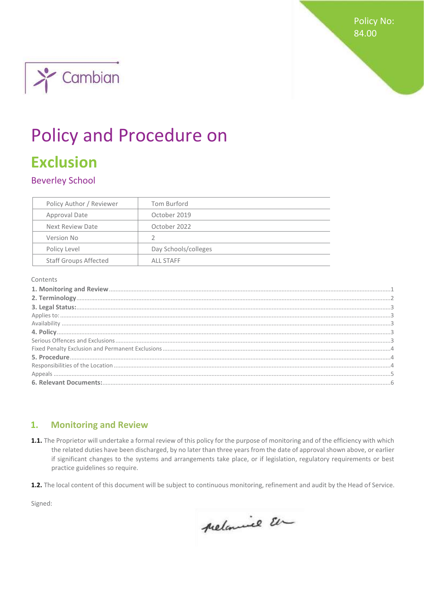**Policy No:** 84.00



# **Policy and Procedure on**

# **Exclusion**

**Beverley School** 

| Policy Author / Reviewer     | Tom Burford          |
|------------------------------|----------------------|
| Approval Date                | October 2019         |
| Next Review Date             | October 2022         |
| Version No                   | V                    |
| Policy Level                 | Day Schools/colleges |
| <b>Staff Groups Affected</b> | ALL STAFF            |

Contents

#### <span id="page-0-0"></span> $1.$ **Monitoring and Review**

- 1.1. The Proprietor will undertake a formal review of this policy for the purpose of monitoring and of the efficiency with which the related duties have been discharged, by no later than three years from the date of approval shown above, or earlier if significant changes to the systems and arrangements take place, or if legislation, regulatory requirements or best practice guidelines so require.
- 1.2. The local content of this document will be subject to continuous monitoring, refinement and audit by the Head of Service.

Signed:

prelamine En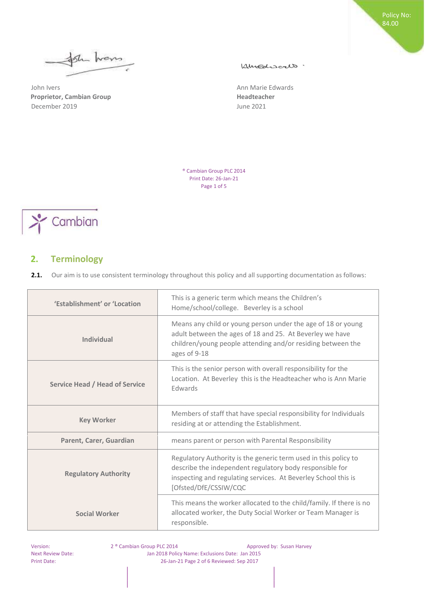plu hans  $\leftarrow$ 

John Ivers **Ann Marie Edwards** Ann Marie Edwards **Proprietor, Cambian Group diamond Strategier Accord Meadteacher Readteacher** December 2019 June 2021

Kimediscalo.

Policy No: 84.00

® Cambian Group PLC 2014 Print Date: 26-Jan-21 Page 1 of 5



# <span id="page-1-0"></span>**2. Terminology**

**2.1.** Our aim is to use consistent terminology throughout this policy and all supporting documentation as follows:

| 'Establishment' or 'Location   | This is a generic term which means the Children's<br>Home/school/college. Beverley is a school                                                                                                                         |
|--------------------------------|------------------------------------------------------------------------------------------------------------------------------------------------------------------------------------------------------------------------|
| Individual                     | Means any child or young person under the age of 18 or young<br>adult between the ages of 18 and 25. At Beverley we have<br>children/young people attending and/or residing between the<br>ages of 9-18                |
| Service Head / Head of Service | This is the senior person with overall responsibility for the<br>Location. At Beverley this is the Headteacher who is Ann Marie<br><b>Edwards</b>                                                                      |
| <b>Key Worker</b>              | Members of staff that have special responsibility for Individuals<br>residing at or attending the Establishment.                                                                                                       |
| Parent, Carer, Guardian        | means parent or person with Parental Responsibility                                                                                                                                                                    |
| <b>Regulatory Authority</b>    | Regulatory Authority is the generic term used in this policy to<br>describe the independent regulatory body responsible for<br>inspecting and regulating services. At Beverley School this is<br>[Ofsted/DfE/CSSIW/CQC |
| <b>Social Worker</b>           | This means the worker allocated to the child/family. If there is no<br>allocated worker, the Duty Social Worker or Team Manager is<br>responsible.                                                                     |

Version: 2 ® Cambian Group PLC 2014 Approved by: Susan Harvey Next Review Date: Jan 2018 Policy Name: Exclusions Date: Jan 2015 Print Date: 26-Jan-21 Page 2 of 6 Reviewed: Sep 2017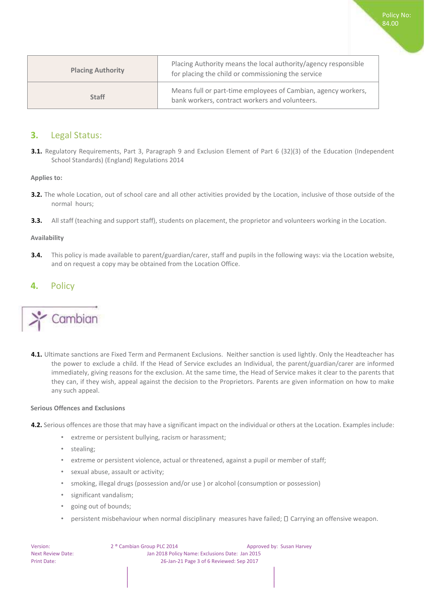| <b>Placing Authority</b> | Placing Authority means the local authority/agency responsible<br>for placing the child or commissioning the service |
|--------------------------|----------------------------------------------------------------------------------------------------------------------|
| <b>Staff</b>             | Means full or part-time employees of Cambian, agency workers,<br>bank workers, contract workers and volunteers.      |

Policy No: 84.00

### <span id="page-2-0"></span>**3.** Legal Status:

**3.1.** Regulatory Requirements, Part 3, Paragraph 9 and Exclusion Element of Part 6 (32)(3) of the Education (Independent School Standards) (England) Regulations 2014

<span id="page-2-1"></span>**Applies to:** 

- **3.2.** The whole Location, out of school care and all other activities provided by the Location, inclusive of those outside of the normal hours;
- **3.3.** All staff (teaching and support staff), students on placement, the proprietor and volunteers working in the Location.

#### <span id="page-2-2"></span>**Availability**

**3.4.** This policy is made available to parent/guardian/carer, staff and pupils in the following ways: via the Location website, and on request a copy may be obtained from the Location Office.

## <span id="page-2-3"></span>**4.** Policy



**4.1.** Ultimate sanctions are Fixed Term and Permanent Exclusions. Neither sanction is used lightly. Only the Headteacher has the power to exclude a child. If the Head of Service excludes an Individual, the parent/guardian/carer are informed immediately, giving reasons for the exclusion. At the same time, the Head of Service makes it clear to the parents that they can, if they wish, appeal against the decision to the Proprietors. Parents are given information on how to make any such appeal.

#### <span id="page-2-4"></span>**Serious Offences and Exclusions**

- **4.2.** Serious offences are those that may have a significant impact on the individual or others at the Location. Examples include:
	- extreme or persistent bullying, racism or harassment;
	- stealing;
	- extreme or persistent violence, actual or threatened, against a pupil or member of staff;
	- sexual abuse, assault or activity;
	- smoking, illegal drugs (possession and/or use ) or alcohol (consumption or possession)
	- significant vandalism;
	- going out of bounds;
	- persistent misbehaviour when normal disciplinary measures have failed;  $\Box$  Carrying an offensive weapon.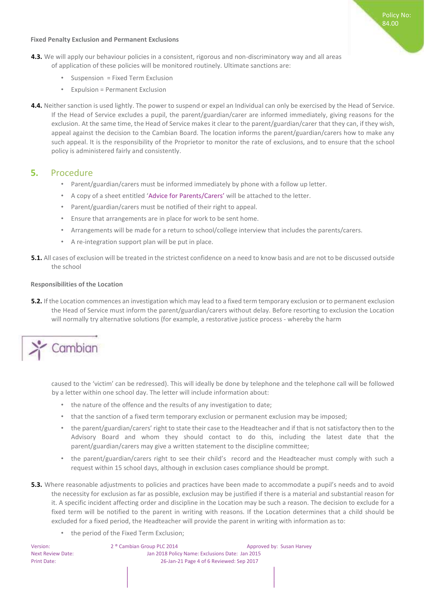#### <span id="page-3-0"></span>**Fixed Penalty Exclusion and Permanent Exclusions**

- **4.3.** We will apply our behaviour policies in a consistent, rigorous and non-discriminatory way and all areas of application of these policies will be monitored routinely. Ultimate sanctions are:
	- Suspension = Fixed Term Exclusion
	- Expulsion = Permanent Exclusion
- **4.4.** Neither sanction is used lightly. The power to suspend or expel an Individual can only be exercised by the Head of Service. If the Head of Service excludes a pupil, the parent/guardian/carer are informed immediately, giving reasons for the exclusion. At the same time, the Head of Service makes it clear to the parent/guardian/carer that they can, if they wish, appeal against the decision to the Cambian Board. The location informs the parent/guardian/carers how to make any such appeal. It is the responsibility of the Proprietor to monitor the rate of exclusions, and to ensure that the school policy is administered fairly and consistently.

## <span id="page-3-1"></span>**5.** Procedure

- Parent/guardian/carers must be informed immediately by phone with a follow up letter.
- A copy of a sheet entitled 'Advice for Parents/Carers' will be attached to the letter.
- Parent/guardian/carers must be notified of their right to appeal.
- Ensure that arrangements are in place for work to be sent home.
- Arrangements will be made for a return to school/college interview that includes the parents/carers.
- A re-integration support plan will be put in place.
- **5.1.** All cases of exclusion will be treated in the strictest confidence on a need to know basis and are not to be discussed outside the school

#### <span id="page-3-2"></span>**Responsibilities of the Location**

**5.2.** If the Location commences an investigation which may lead to a fixed term temporary exclusion or to permanent exclusion the Head of Service must inform the parent/guardian/carers without delay. Before resorting to exclusion the Location will normally try alternative solutions (for example, a restorative justice process - whereby the harm

# Cambian

caused to the 'victim' can be redressed). This will ideally be done by telephone and the telephone call will be followed by a letter within one school day. The letter will include information about:

- the nature of the offence and the results of any investigation to date;
- that the sanction of a fixed term temporary exclusion or permanent exclusion may be imposed;
- the parent/guardian/carers' right to state their case to the Headteacher and if that is not satisfactory then to the Advisory Board and whom they should contact to do this, including the latest date that the parent/guardian/carers may give a written statement to the discipline committee;
- the parent/guardian/carers right to see their child's record and the Headteacher must comply with such a request within 15 school days, although in exclusion cases compliance should be prompt.
- **5.3.** Where reasonable adjustments to policies and practices have been made to accommodate a pupil's needs and to avoid the necessity for exclusion as far as possible, exclusion may be justified if there is a material and substantial reason for it. A specific incident affecting order and discipline in the Location may be such a reason. The decision to exclude for a fixed term will be notified to the parent in writing with reasons. If the Location determines that a child should be excluded for a fixed period, the Headteacher will provide the parent in writing with information as to:
	- the period of the Fixed Term Exclusion;

Version: 2 ® Cambian Group PLC 2014 Approved by: Susan Harvey Next Review Date: Jan 2018 Policy Name: Exclusions Date: Jan 2015 Print Date: 26-Jan-21 Page 4 of 6 Reviewed: Sep 2017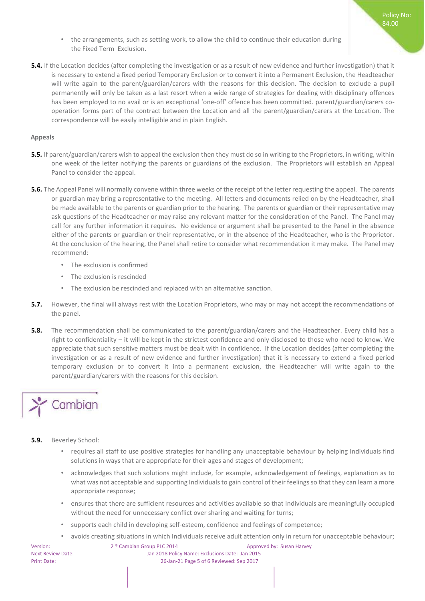- the arrangements, such as setting work, to allow the child to continue their education during the Fixed Term Exclusion.
- **5.4.** If the Location decides (after completing the investigation or as a result of new evidence and further investigation) that it is necessary to extend a fixed period Temporary Exclusion or to convert it into a Permanent Exclusion, the Headteacher will write again to the parent/guardian/carers with the reasons for this decision. The decision to exclude a pupil permanently will only be taken as a last resort when a wide range of strategies for dealing with disciplinary offences has been employed to no avail or is an exceptional 'one-off' offence has been committed. parent/guardian/carers cooperation forms part of the contract between the Location and all the parent/guardian/carers at the Location. The correspondence will be easily intelligible and in plain English.

#### <span id="page-4-0"></span>**Appeals**

- **5.5.** If parent/guardian/carers wish to appeal the exclusion then they must do so in writing to the Proprietors, in writing, within one week of the letter notifying the parents or guardians of the exclusion. The Proprietors will establish an Appeal Panel to consider the appeal.
- **5.6.** The Appeal Panel will normally convene within three weeks of the receipt of the letter requesting the appeal. The parents or guardian may bring a representative to the meeting. All letters and documents relied on by the Headteacher, shall be made available to the parents or guardian prior to the hearing. The parents or guardian or their representative may ask questions of the Headteacher or may raise any relevant matter for the consideration of the Panel. The Panel may call for any further information it requires. No evidence or argument shall be presented to the Panel in the absence either of the parents or guardian or their representative, or in the absence of the Headteacher, who is the Proprietor. At the conclusion of the hearing, the Panel shall retire to consider what recommendation it may make. The Panel may recommend:
	- The exclusion is confirmed
	- The exclusion is rescinded
	- The exclusion be rescinded and replaced with an alternative sanction.
- **5.7.** However, the final will always rest with the Location Proprietors, who may or may not accept the recommendations of the panel.
- **5.8.** The recommendation shall be communicated to the parent/guardian/carers and the Headteacher. Every child has a right to confidentiality – it will be kept in the strictest confidence and only disclosed to those who need to know. We appreciate that such sensitive matters must be dealt with in confidence. If the Location decides (after completing the investigation or as a result of new evidence and further investigation) that it is necessary to extend a fixed period temporary exclusion or to convert it into a permanent exclusion, the Headteacher will write again to the parent/guardian/carers with the reasons for this decision.

# Cambian

#### **5.9.** Beverley School:

- requires all staff to use positive strategies for handling any unacceptable behaviour by helping Individuals find solutions in ways that are appropriate for their ages and stages of development;
- acknowledges that such solutions might include, for example, acknowledgement of feelings, explanation as to what was not acceptable and supporting Individuals to gain control of their feelings so that they can learn a more appropriate response;
- ensures that there are sufficient resources and activities available so that Individuals are meaningfully occupied without the need for unnecessary conflict over sharing and waiting for turns;
- supports each child in developing self-esteem, confidence and feelings of competence;

• avoids creating situations in which Individuals receive adult attention only in return for unacceptable behaviour;

Version: 2 ® Cambian Group PLC 2014 Approved by: Susan Harvey Next Review Date: Jan 2018 Policy Name: Exclusions Date: Jan 2015 Print Date: 26-Jan-21 Page 5 of 6 Reviewed: Sep 2017